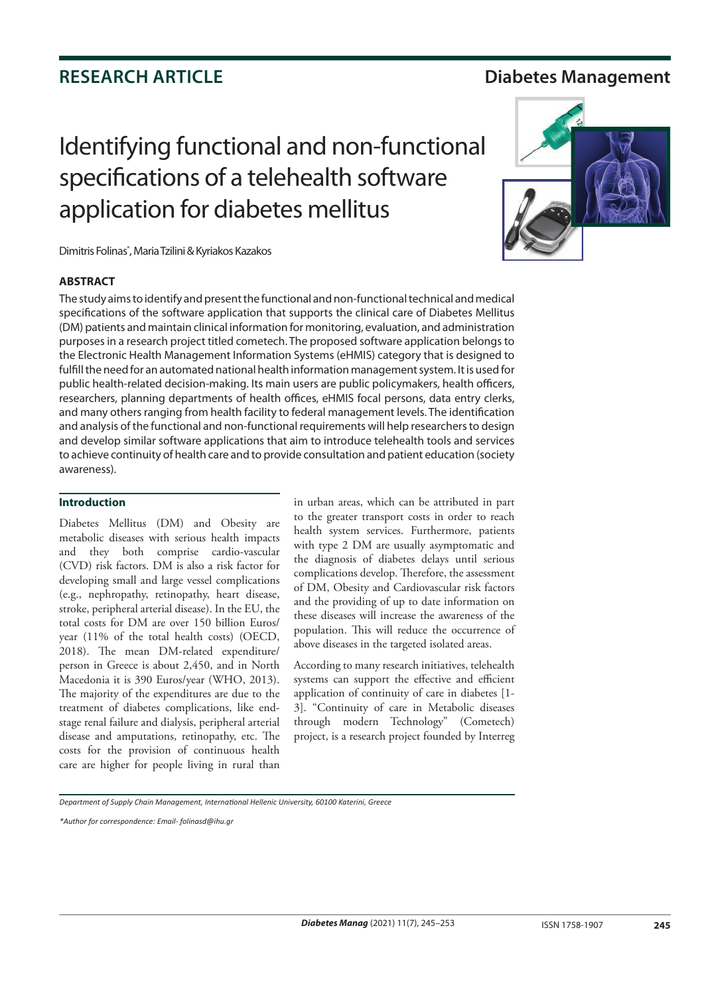### **RESEARCH ARTICLE Diabetes Management**

# Identifying functional and non-functional specifications of a telehealth software application for diabetes mellitus

Dimitris Folinas\* , Maria Tzilini & Kyriakos Kazakos

### **ABSTRACT**

The study aims to identify and present the functional and non-functional technical and medical specifications of the software application that supports the clinical care of Diabetes Mellitus (DM) patients and maintain clinical information for monitoring, evaluation, and administration purposes in a research project titled cometech. The proposed software application belongs to the Electronic Health Management Information Systems (eHMIS) category that is designed to fulfill the need for an automated national health information management system. It is used for public health-related decision-making. Its main users are public policymakers, health officers, researchers, planning departments of health offices, eHMIS focal persons, data entry clerks, and many others ranging from health facility to federal management levels. The identification and analysis of the functional and non-functional requirements will help researchers to design and develop similar software applications that aim to introduce telehealth tools and services to achieve continuity of health care and to provide consultation and patient education (society awareness).

### **Introduction**

Diabetes Mellitus (DM) and Obesity are metabolic diseases with serious health impacts and they both comprise cardio-vascular (CVD) risk factors. DM is also a risk factor for developing small and large vessel complications (e.g., nephropathy, retinopathy, heart disease, stroke, peripheral arterial disease). In the EU, the total costs for DM are over 150 billion Euros/ year (11% of the total health costs) (OECD, 2018). The mean DM-related expenditure/ person in Greece is about 2,450, and in North Macedonia it is 390 Euros/year (WHO, 2013). The majority of the expenditures are due to the treatment of diabetes complications, like endstage renal failure and dialysis, peripheral arterial disease and amputations, retinopathy, etc. The costs for the provision of continuous health care are higher for people living in rural than

in urban areas, which can be attributed in part to the greater transport costs in order to reach health system services. Furthermore, patients with type 2 DM are usually asymptomatic and the diagnosis of diabetes delays until serious complications develop. Therefore, the assessment of DM, Obesity and Cardiovascular risk factors and the providing of up to date information on these diseases will increase the awareness of the population. This will reduce the occurrence of above diseases in the targeted isolated areas.

According to many research initiatives, telehealth systems can support the effective and efficient application of continuity of care in diabetes [1- 3]. "Continuity of care in Metabolic diseases through modern Technology" (Cometech) project, is a research project founded by Interreg



*<sup>\*</sup>Author for correspondence: Email- folinasd@ihu.gr*

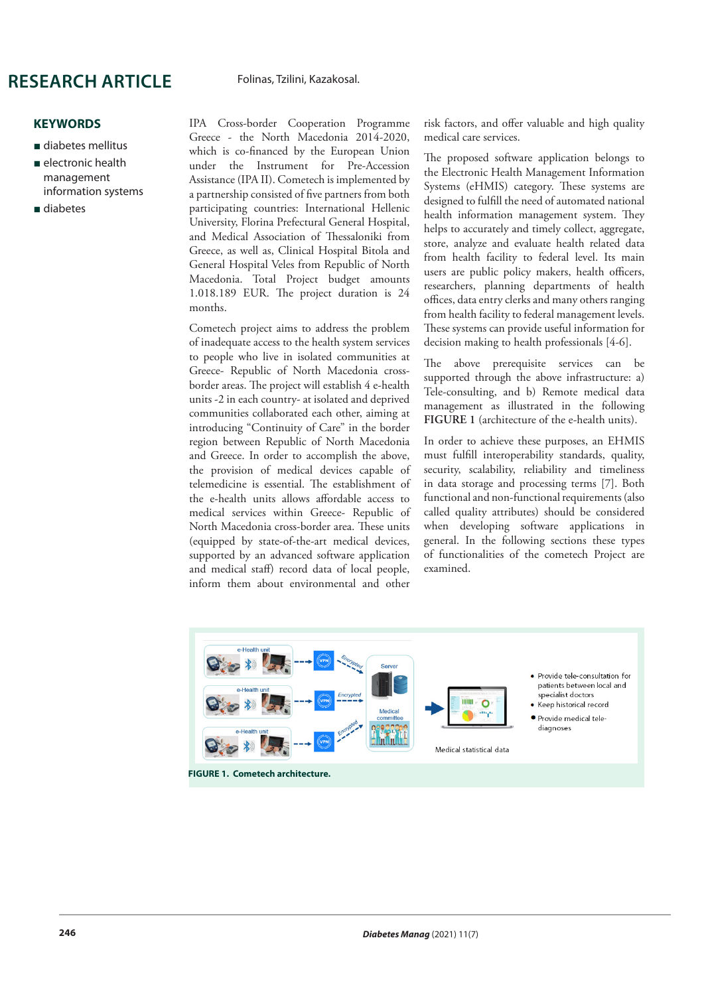#### Folinas, Tzilini, Kazakosal.

**KEYWORDS**

- diabetes mellitus
- electronic health management information systems
- diabetes

IPA Cross-border Cooperation Programme Greece - the North Macedonia 2014-2020, which is co-financed by the European Union under the Instrument for Pre-Accession Assistance (IPA II). Cometech is implemented by a partnership consisted of five partners from both participating countries: International Hellenic University, Florina Prefectural General Hospital, and Medical Association of Thessaloniki from Greece, as well as, Clinical Hospital Bitola and General Hospital Veles from Republic of North Macedonia. Total Project budget amounts 1.018.189 EUR. The project duration is 24 months.

Cometech project aims to address the problem of inadequate access to the health system services to people who live in isolated communities at Greece- Republic of North Macedonia crossborder areas. The project will establish 4 e-health units -2 in each country- at isolated and deprived communities collaborated each other, aiming at introducing "Continuity of Care" in the border region between Republic of North Macedonia and Greece. In order to accomplish the above, the provision of medical devices capable of telemedicine is essential. The establishment of the e-health units allows affordable access to medical services within Greece- Republic of North Macedonia cross-border area. These units (equipped by state-of-the-art medical devices, supported by an advanced software application and medical staff) record data of local people, inform them about environmental and other

risk factors, and offer valuable and high quality medical care services.

The proposed software application belongs to the Electronic Health Management Information Systems (eHMIS) category. These systems are designed to fulfill the need of automated national health information management system. They helps to accurately and timely collect, aggregate, store, analyze and evaluate health related data from health facility to federal level. Its main users are public policy makers, health officers, researchers, planning departments of health offices, data entry clerks and many others ranging from health facility to federal management levels. These systems can provide useful information for decision making to health professionals [4-6].

The above prerequisite services can be supported through the above infrastructure: a) Tele-consulting, and b) Remote medical data management as illustrated in the following **FIGURE 1** (architecture of the e-health units).

In order to achieve these purposes, an EHMIS must fulfill interoperability standards, quality, security, scalability, reliability and timeliness in data storage and processing terms [7]. Both functional and non-functional requirements (also called quality attributes) should be considered when developing software applications in general. In the following sections these types of functionalities of the cometech Project are examined.



**FIGURE 1. Cometech architecture.**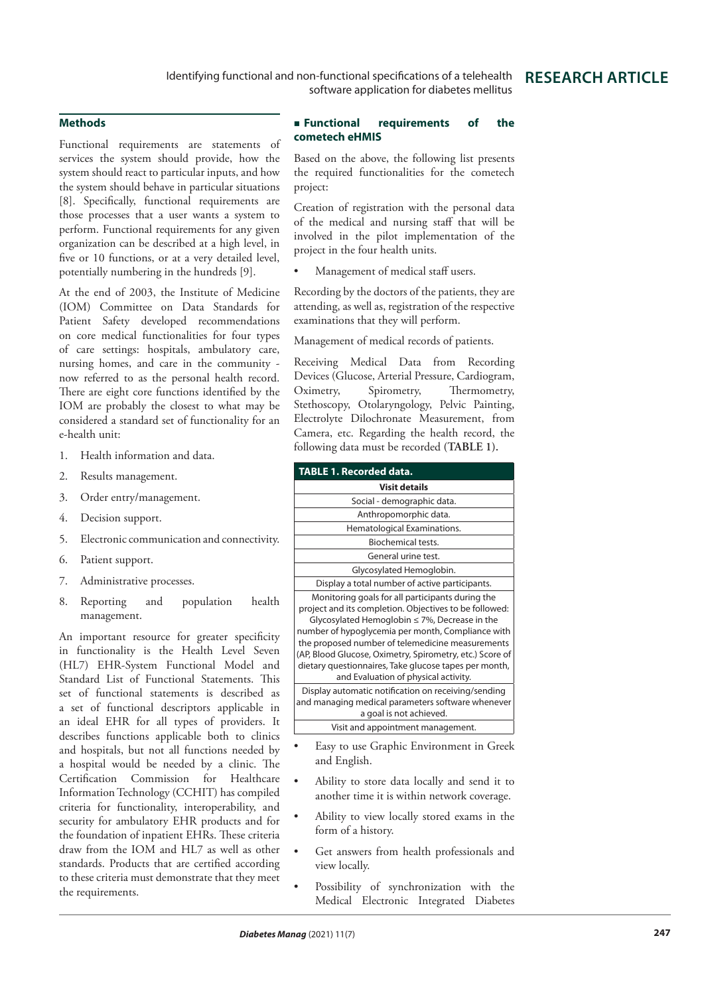#### **Methods**

Functional requirements are statements of services the system should provide, how the system should react to particular inputs, and how the system should behave in particular situations [8]. Specifically, functional requirements are those processes that a user wants a system to perform. Functional requirements for any given organization can be described at a high level, in five or 10 functions, or at a very detailed level, potentially numbering in the hundreds [9].

At the end of 2003, the Institute of Medicine (IOM) Committee on Data Standards for Patient Safety developed recommendations on core medical functionalities for four types of care settings: hospitals, ambulatory care, nursing homes, and care in the community now referred to as the personal health record. There are eight core functions identified by the IOM are probably the closest to what may be considered a standard set of functionality for an e-health unit:

- 1. Health information and data.
- 2. Results management.
- 3. Order entry/management.
- 4. Decision support.
- 5. Electronic communication and connectivity.
- 6. Patient support.
- 7. Administrative processes.
- 8. Reporting and population health management.

An important resource for greater specificity in functionality is the Health Level Seven (HL7) EHR-System Functional Model and Standard List of Functional Statements. This set of functional statements is described as a set of functional descriptors applicable in an ideal EHR for all types of providers. It describes functions applicable both to clinics and hospitals, but not all functions needed by a hospital would be needed by a clinic. The Certification Commission for Healthcare Information Technology (CCHIT) has compiled criteria for functionality, interoperability, and security for ambulatory EHR products and for the foundation of inpatient EHRs. These criteria draw from the IOM and HL7 as well as other standards. Products that are certified according to these criteria must demonstrate that they meet the requirements.

### **Functional requirements of the cometech eHMIS**

Based on the above, the following list presents the required functionalities for the cometech project:

Creation of registration with the personal data of the medical and nursing staff that will be involved in the pilot implementation of the project in the four health units.

Management of medical staff users.

Recording by the doctors of the patients, they are attending, as well as, registration of the respective examinations that they will perform.

Management of medical records of patients.

Receiving Medical Data from Recording Devices (Glucose, Arterial Pressure, Cardiogram, Oximetry, Spirometry, Thermometry, Stethoscopy, Otolaryngology, Pelvic Painting, Electrolyte Dilochronate Measurement, from Camera, etc. Regarding the health record, the following data must be recorded **(TABLE 1).**

| <b>TABLE 1. Recorded data.</b>                                                                                                                                                                                                                                                                                                                                                                                                         |  |  |
|----------------------------------------------------------------------------------------------------------------------------------------------------------------------------------------------------------------------------------------------------------------------------------------------------------------------------------------------------------------------------------------------------------------------------------------|--|--|
| Visit details                                                                                                                                                                                                                                                                                                                                                                                                                          |  |  |
| Social - demographic data.                                                                                                                                                                                                                                                                                                                                                                                                             |  |  |
| Anthropomorphic data.                                                                                                                                                                                                                                                                                                                                                                                                                  |  |  |
| Hematological Examinations.                                                                                                                                                                                                                                                                                                                                                                                                            |  |  |
| Biochemical tests.                                                                                                                                                                                                                                                                                                                                                                                                                     |  |  |
| General urine test.                                                                                                                                                                                                                                                                                                                                                                                                                    |  |  |
| Glycosylated Hemoglobin.                                                                                                                                                                                                                                                                                                                                                                                                               |  |  |
| Display a total number of active participants.                                                                                                                                                                                                                                                                                                                                                                                         |  |  |
| Monitoring goals for all participants during the<br>project and its completion. Objectives to be followed:<br>Glycosylated Hemoglobin $\leq$ 7%, Decrease in the<br>number of hypoglycemia per month, Compliance with<br>the proposed number of telemedicine measurements<br>(AP, Blood Glucose, Oximetry, Spirometry, etc.) Score of<br>dietary questionnaires, Take glucose tapes per month,<br>and Evaluation of physical activity. |  |  |
| Display automatic notification on receiving/sending<br>and managing medical parameters software whenever<br>a goal is not achieved.                                                                                                                                                                                                                                                                                                    |  |  |
| Visit and appointment management.                                                                                                                                                                                                                                                                                                                                                                                                      |  |  |

- Easy to use Graphic Environment in Greek and English.
- Ability to store data locally and send it to another time it is within network coverage.
- Ability to view locally stored exams in the form of a history.
- Get answers from health professionals and view locally.
- Possibility of synchronization with the Medical Electronic Integrated Diabetes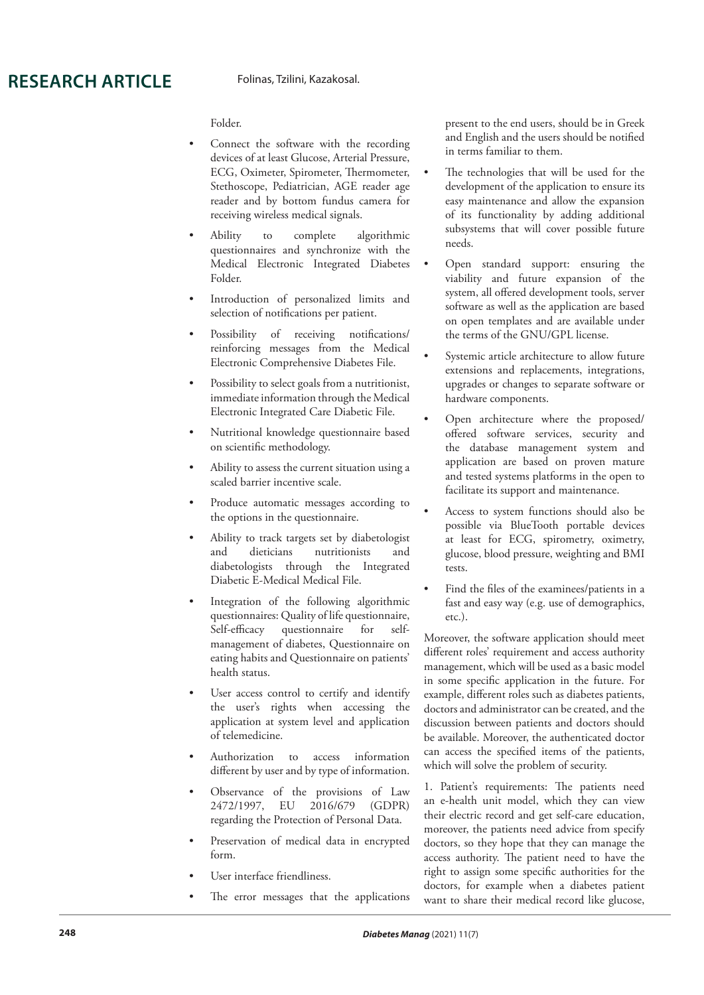Folder.

- Connect the software with the recording devices of at least Glucose, Arterial Pressure, ECG, Oximeter, Spirometer, Thermometer, Stethoscope, Pediatrician, AGE reader age reader and by bottom fundus camera for receiving wireless medical signals.
- Ability to complete algorithmic questionnaires and synchronize with the Medical Electronic Integrated Diabetes Folder.
- Introduction of personalized limits and selection of notifications per patient.
- Possibility of receiving notifications/ reinforcing messages from the Medical Electronic Comprehensive Diabetes File.
- Possibility to select goals from a nutritionist, immediate information through the Medical Electronic Integrated Care Diabetic File.
- Nutritional knowledge questionnaire based on scientific methodology.
- Ability to assess the current situation using a scaled barrier incentive scale.
- Produce automatic messages according to the options in the questionnaire.
- Ability to track targets set by diabetologist<br>and dieticians nutritionists and and dieticians nutritionists and diabetologists through the Integrated Diabetic E-Medical Medical File.
- Integration of the following algorithmic questionnaires: Quality of life questionnaire, Self-efficacy questionnaire for selfmanagement of diabetes, Questionnaire on eating habits and Questionnaire on patients' health status.
- User access control to certify and identify the user's rights when accessing the application at system level and application of telemedicine.
- Authorization to access information different by user and by type of information.
- Observance of the provisions of Law 2472/1997, EU 2016/679 (GDPR) regarding the Protection of Personal Data.
- Preservation of medical data in encrypted form.
- User interface friendliness.
- The error messages that the applications

present to the end users, should be in Greek and English and the users should be notified in terms familiar to them.

- The technologies that will be used for the development of the application to ensure its easy maintenance and allow the expansion of its functionality by adding additional subsystems that will cover possible future needs.
- Open standard support: ensuring the viability and future expansion of the system, all offered development tools, server software as well as the application are based on open templates and are available under the terms of the GNU/GPL license.
- Systemic article architecture to allow future extensions and replacements, integrations, upgrades or changes to separate software or hardware components.
- Open architecture where the proposed/ offered software services, security and the database management system and application are based on proven mature and tested systems platforms in the open to facilitate its support and maintenance.
- Access to system functions should also be possible via BlueTooth portable devices at least for ECG, spirometry, oximetry, glucose, blood pressure, weighting and BMI tests.
- Find the files of the examinees/patients in a fast and easy way (e.g. use of demographics, etc.).

Moreover, the software application should meet different roles' requirement and access authority management, which will be used as a basic model in some specific application in the future. For example, different roles such as diabetes patients, doctors and administrator can be created, and the discussion between patients and doctors should be available. Moreover, the authenticated doctor can access the specified items of the patients, which will solve the problem of security.

1. Patient's requirements: The patients need an e-health unit model, which they can view their electric record and get self-care education, moreover, the patients need advice from specify doctors, so they hope that they can manage the access authority. The patient need to have the right to assign some specific authorities for the doctors, for example when a diabetes patient want to share their medical record like glucose,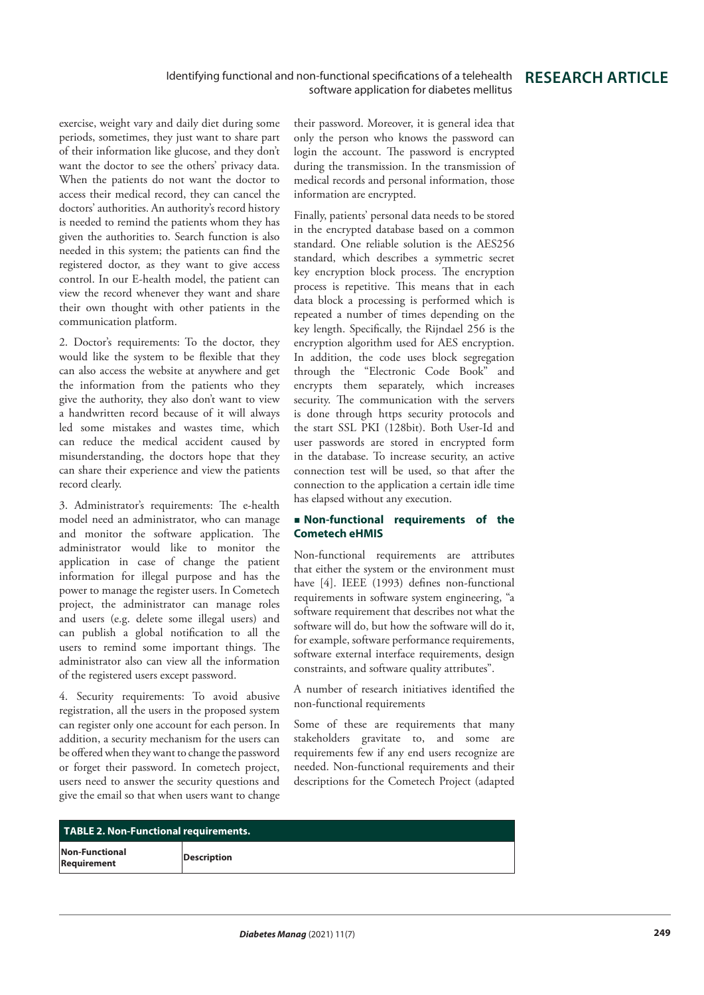exercise, weight vary and daily diet during some periods, sometimes, they just want to share part of their information like glucose, and they don't want the doctor to see the others' privacy data. When the patients do not want the doctor to access their medical record, they can cancel the doctors' authorities. An authority's record history is needed to remind the patients whom they has given the authorities to. Search function is also needed in this system; the patients can find the registered doctor, as they want to give access control. In our E-health model, the patient can view the record whenever they want and share their own thought with other patients in the communication platform.

2. Doctor's requirements: To the doctor, they would like the system to be flexible that they can also access the website at anywhere and get the information from the patients who they give the authority, they also don't want to view a handwritten record because of it will always led some mistakes and wastes time, which can reduce the medical accident caused by misunderstanding, the doctors hope that they can share their experience and view the patients record clearly.

3. Administrator's requirements: The e-health model need an administrator, who can manage and monitor the software application. The administrator would like to monitor the application in case of change the patient information for illegal purpose and has the power to manage the register users. In Cometech project, the administrator can manage roles and users (e.g. delete some illegal users) and can publish a global notification to all the users to remind some important things. The administrator also can view all the information of the registered users except password.

4. Security requirements: To avoid abusive registration, all the users in the proposed system can register only one account for each person. In addition, a security mechanism for the users can be offered when they want to change the password or forget their password. In cometech project, users need to answer the security questions and give the email so that when users want to change their password. Moreover, it is general idea that only the person who knows the password can login the account. The password is encrypted during the transmission. In the transmission of medical records and personal information, those information are encrypted.

Finally, patients' personal data needs to be stored in the encrypted database based on a common standard. One reliable solution is the AES256 standard, which describes a symmetric secret key encryption block process. The encryption process is repetitive. This means that in each data block a processing is performed which is repeated a number of times depending on the key length. Specifically, the Rijndael 256 is the encryption algorithm used for AES encryption. In addition, the code uses block segregation through the "Electronic Code Book" and encrypts them separately, which increases security. The communication with the servers is done through https security protocols and the start SSL PKI (128bit). Both User-Id and user passwords are stored in encrypted form in the database. To increase security, an active connection test will be used, so that after the connection to the application a certain idle time has elapsed without any execution.

#### **Non-functional requirements of the Cometech eHMIS**

Non-functional requirements are attributes that either the system or the environment must have [4]. IEEE (1993) defines non-functional requirements in software system engineering, "a software requirement that describes not what the software will do, but how the software will do it, for example, software performance requirements, software external interface requirements, design constraints, and software quality attributes".

A number of research initiatives identified the non-functional requirements

Some of these are requirements that many stakeholders gravitate to, and some are requirements few if any end users recognize are needed. Non-functional requirements and their descriptions for the Cometech Project (adapted

| <b>TABLE 2. Non-Functional requirements.</b> |                    |  |
|----------------------------------------------|--------------------|--|
| Non-Functional<br>Requirement                | <b>Description</b> |  |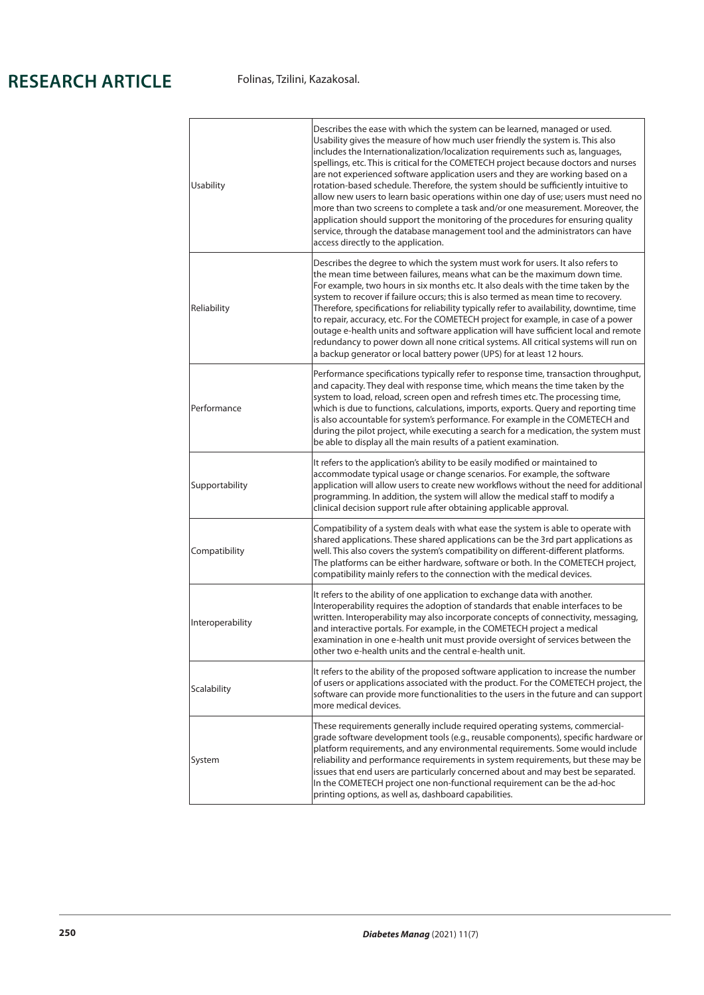| Usability        | Describes the ease with which the system can be learned, managed or used.<br>Usability gives the measure of how much user friendly the system is. This also<br>includes the Internationalization/localization requirements such as, languages,<br>spellings, etc. This is critical for the COMETECH project because doctors and nurses<br>are not experienced software application users and they are working based on a<br>rotation-based schedule. Therefore, the system should be sufficiently intuitive to<br>allow new users to learn basic operations within one day of use; users must need no<br>more than two screens to complete a task and/or one measurement. Moreover, the<br>application should support the monitoring of the procedures for ensuring quality<br>service, through the database management tool and the administrators can have<br>access directly to the application. |
|------------------|-----------------------------------------------------------------------------------------------------------------------------------------------------------------------------------------------------------------------------------------------------------------------------------------------------------------------------------------------------------------------------------------------------------------------------------------------------------------------------------------------------------------------------------------------------------------------------------------------------------------------------------------------------------------------------------------------------------------------------------------------------------------------------------------------------------------------------------------------------------------------------------------------------|
| Reliability      | Describes the degree to which the system must work for users. It also refers to<br>the mean time between failures, means what can be the maximum down time.<br>For example, two hours in six months etc. It also deals with the time taken by the<br>system to recover if failure occurs; this is also termed as mean time to recovery.<br>Therefore, specifications for reliability typically refer to availability, downtime, time<br>to repair, accuracy, etc. For the COMETECH project for example, in case of a power<br>outage e-health units and software application will have sufficient local and remote<br>redundancy to power down all none critical systems. All critical systems will run on<br>a backup generator or local battery power (UPS) for at least 12 hours.                                                                                                                |
| Performance      | Performance specifications typically refer to response time, transaction throughput,<br>and capacity. They deal with response time, which means the time taken by the<br>system to load, reload, screen open and refresh times etc. The processing time,<br>which is due to functions, calculations, imports, exports. Query and reporting time<br>is also accountable for system's performance. For example in the COMETECH and<br>during the pilot project, while executing a search for a medication, the system must<br>be able to display all the main results of a patient examination.                                                                                                                                                                                                                                                                                                       |
| Supportability   | It refers to the application's ability to be easily modified or maintained to<br>accommodate typical usage or change scenarios. For example, the software<br>application will allow users to create new workflows without the need for additional<br>programming. In addition, the system will allow the medical staff to modify a<br>clinical decision support rule after obtaining applicable approval.                                                                                                                                                                                                                                                                                                                                                                                                                                                                                           |
| Compatibility    | Compatibility of a system deals with what ease the system is able to operate with<br>shared applications. These shared applications can be the 3rd part applications as<br>well. This also covers the system's compatibility on different-different platforms.<br>The platforms can be either hardware, software or both. In the COMETECH project,<br>compatibility mainly refers to the connection with the medical devices.                                                                                                                                                                                                                                                                                                                                                                                                                                                                       |
| Interoperability | It refers to the ability of one application to exchange data with another.<br>Interoperability requires the adoption of standards that enable interfaces to be<br>written. Interoperability may also incorporate concepts of connectivity, messaging,<br>and interactive portals. For example, in the COMETECH project a medical<br>examination in one e-health unit must provide oversight of services between the<br>other two e-health units and the central e-health unit.                                                                                                                                                                                                                                                                                                                                                                                                                      |
| Scalability      | It refers to the ability of the proposed software application to increase the number<br>of users or applications associated with the product. For the COMETECH project, the<br>software can provide more functionalities to the users in the future and can support<br>more medical devices.                                                                                                                                                                                                                                                                                                                                                                                                                                                                                                                                                                                                        |
| System           | These requirements generally include required operating systems, commercial-<br>grade software development tools (e.g., reusable components), specific hardware or<br>platform requirements, and any environmental requirements. Some would include<br>reliability and performance requirements in system requirements, but these may be<br>issues that end users are particularly concerned about and may best be separated.<br>In the COMETECH project one non-functional requirement can be the ad-hoc<br>printing options, as well as, dashboard capabilities.                                                                                                                                                                                                                                                                                                                                  |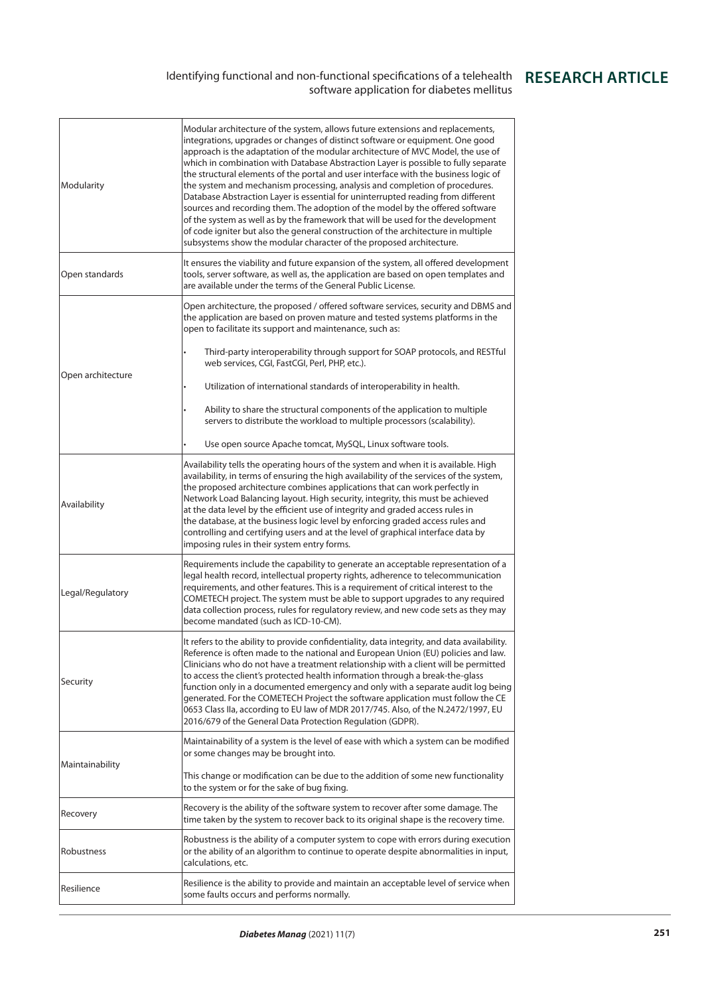### Identifying functional and non-functional specifications of a telehealth software application for diabetes mellitus

| Modularity        | Modular architecture of the system, allows future extensions and replacements,<br>integrations, upgrades or changes of distinct software or equipment. One good<br>approach is the adaptation of the modular architecture of MVC Model, the use of<br>which in combination with Database Abstraction Layer is possible to fully separate<br>the structural elements of the portal and user interface with the business logic of<br>the system and mechanism processing, analysis and completion of procedures.<br>Database Abstraction Layer is essential for uninterrupted reading from different<br>sources and recording them. The adoption of the model by the offered software<br>of the system as well as by the framework that will be used for the development<br>of code igniter but also the general construction of the architecture in multiple<br>subsystems show the modular character of the proposed architecture. |
|-------------------|------------------------------------------------------------------------------------------------------------------------------------------------------------------------------------------------------------------------------------------------------------------------------------------------------------------------------------------------------------------------------------------------------------------------------------------------------------------------------------------------------------------------------------------------------------------------------------------------------------------------------------------------------------------------------------------------------------------------------------------------------------------------------------------------------------------------------------------------------------------------------------------------------------------------------------|
| Open standards    | It ensures the viability and future expansion of the system, all offered development<br>tools, server software, as well as, the application are based on open templates and<br>are available under the terms of the General Public License.                                                                                                                                                                                                                                                                                                                                                                                                                                                                                                                                                                                                                                                                                        |
| Open architecture | Open architecture, the proposed / offered software services, security and DBMS and<br>the application are based on proven mature and tested systems platforms in the<br>open to facilitate its support and maintenance, such as:                                                                                                                                                                                                                                                                                                                                                                                                                                                                                                                                                                                                                                                                                                   |
|                   | Third-party interoperability through support for SOAP protocols, and RESTful<br>web services, CGI, FastCGI, Perl, PHP, etc.).                                                                                                                                                                                                                                                                                                                                                                                                                                                                                                                                                                                                                                                                                                                                                                                                      |
|                   | Utilization of international standards of interoperability in health.                                                                                                                                                                                                                                                                                                                                                                                                                                                                                                                                                                                                                                                                                                                                                                                                                                                              |
|                   | Ability to share the structural components of the application to multiple<br>servers to distribute the workload to multiple processors (scalability).                                                                                                                                                                                                                                                                                                                                                                                                                                                                                                                                                                                                                                                                                                                                                                              |
|                   | Use open source Apache tomcat, MySQL, Linux software tools.                                                                                                                                                                                                                                                                                                                                                                                                                                                                                                                                                                                                                                                                                                                                                                                                                                                                        |
| Availability      | Availability tells the operating hours of the system and when it is available. High<br>availability, in terms of ensuring the high availability of the services of the system,<br>the proposed architecture combines applications that can work perfectly in<br>Network Load Balancing layout. High security, integrity, this must be achieved<br>at the data level by the efficient use of integrity and graded access rules in<br>the database, at the business logic level by enforcing graded access rules and<br>controlling and certifying users and at the level of graphical interface data by<br>imposing rules in their system entry forms.                                                                                                                                                                                                                                                                              |
| Legal/Regulatory  | Requirements include the capability to generate an acceptable representation of a<br>legal health record, intellectual property rights, adherence to telecommunication<br>requirements, and other features. This is a requirement of critical interest to the<br>COMETECH project. The system must be able to support upgrades to any required<br>data collection process, rules for regulatory review, and new code sets as they may<br>become mandated (such as ICD-10-CM).                                                                                                                                                                                                                                                                                                                                                                                                                                                      |
| Security          | It refers to the ability to provide confidentiality, data integrity, and data availability.<br>Reference is often made to the national and European Union (EU) policies and law.<br>Clinicians who do not have a treatment relationship with a client will be permitted<br>to access the client's protected health information through a break-the-glass<br>function only in a documented emergency and only with a separate audit log being<br>generated. For the COMETECH Project the software application must follow the CE<br>0653 Class IIa, according to EU law of MDR 2017/745. Also, of the N.2472/1997, EU<br>2016/679 of the General Data Protection Regulation (GDPR).                                                                                                                                                                                                                                                 |
| Maintainability   | Maintainability of a system is the level of ease with which a system can be modified<br>or some changes may be brought into.                                                                                                                                                                                                                                                                                                                                                                                                                                                                                                                                                                                                                                                                                                                                                                                                       |
|                   | This change or modification can be due to the addition of some new functionality<br>to the system or for the sake of bug fixing.                                                                                                                                                                                                                                                                                                                                                                                                                                                                                                                                                                                                                                                                                                                                                                                                   |
| Recovery          | Recovery is the ability of the software system to recover after some damage. The<br>time taken by the system to recover back to its original shape is the recovery time.                                                                                                                                                                                                                                                                                                                                                                                                                                                                                                                                                                                                                                                                                                                                                           |
| Robustness        | Robustness is the ability of a computer system to cope with errors during execution<br>or the ability of an algorithm to continue to operate despite abnormalities in input,<br>calculations, etc.                                                                                                                                                                                                                                                                                                                                                                                                                                                                                                                                                                                                                                                                                                                                 |
| Resilience        | Resilience is the ability to provide and maintain an acceptable level of service when<br>some faults occurs and performs normally.                                                                                                                                                                                                                                                                                                                                                                                                                                                                                                                                                                                                                                                                                                                                                                                                 |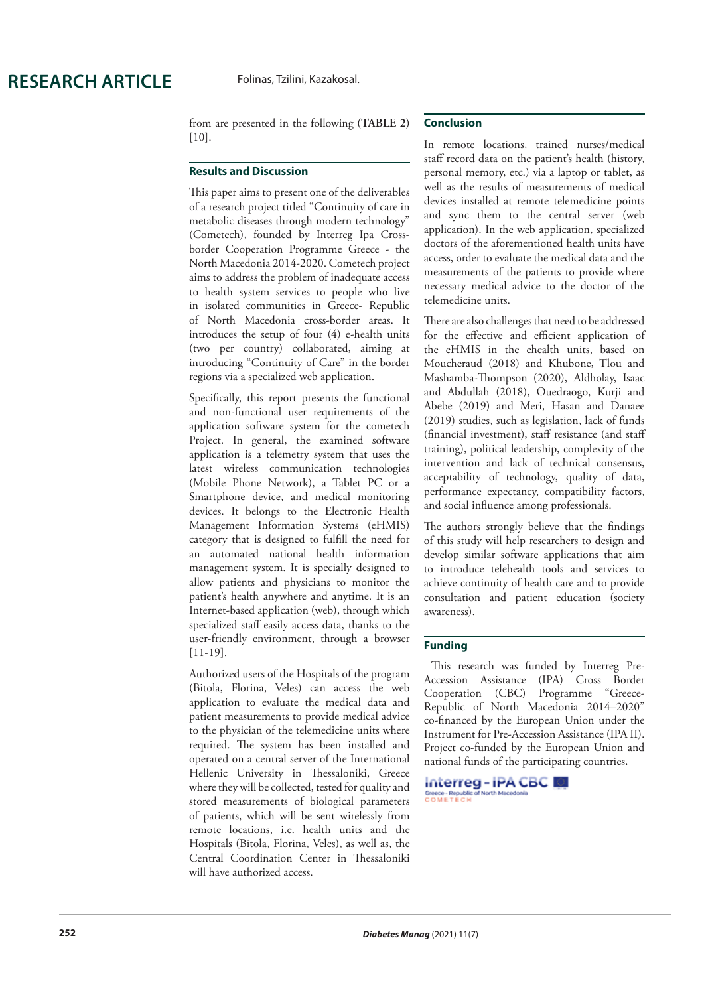from are presented in the following **(TABLE 2)**  [10].

#### **Results and Discussion**

This paper aims to present one of the deliverables of a research project titled "Continuity of care in metabolic diseases through modern technology" (Cometech), founded by Interreg Ipa Crossborder Cooperation Programme Greece - the North Macedonia 2014-2020. Cometech project aims to address the problem of inadequate access to health system services to people who live in isolated communities in Greece- Republic of North Macedonia cross-border areas. It introduces the setup of four (4) e-health units (two per country) collaborated, aiming at introducing "Continuity of Care" in the border regions via a specialized web application.

Specifically, this report presents the functional and non-functional user requirements of the application software system for the cometech Project. In general, the examined software application is a telemetry system that uses the latest wireless communication technologies (Mobile Phone Network), a Tablet PC or a Smartphone device, and medical monitoring devices. It belongs to the Electronic Health Management Information Systems (eHMIS) category that is designed to fulfill the need for an automated national health information management system. It is specially designed to allow patients and physicians to monitor the patient's health anywhere and anytime. It is an Internet-based application (web), through which specialized staff easily access data, thanks to the user-friendly environment, through a browser [11-19].

Authorized users of the Hospitals of the program (Bitola, Florina, Veles) can access the web application to evaluate the medical data and patient measurements to provide medical advice to the physician of the telemedicine units where required. The system has been installed and operated on a central server of the International Hellenic University in Thessaloniki, Greece where they will be collected, tested for quality and stored measurements of biological parameters of patients, which will be sent wirelessly from remote locations, i.e. health units and the Hospitals (Bitola, Florina, Veles), as well as, the Central Coordination Center in Thessaloniki will have authorized access.

### **Conclusion**

In remote locations, trained nurses/medical staff record data on the patient's health (history, personal memory, etc.) via a laptop or tablet, as well as the results of measurements of medical devices installed at remote telemedicine points and sync them to the central server (web application). In the web application, specialized doctors of the aforementioned health units have access, order to evaluate the medical data and the measurements of the patients to provide where necessary medical advice to the doctor of the telemedicine units.

There are also challenges that need to be addressed for the effective and efficient application of the eHMIS in the ehealth units, based on Moucheraud (2018) and Khubone, Tlou and Mashamba-Thompson (2020), Aldholay, Isaac and Abdullah (2018), Ouedraogo, Kurji and Abebe (2019) and Meri, Hasan and Danaee (2019) studies, such as legislation, lack of funds (financial investment), staff resistance (and staff training), political leadership, complexity of the intervention and lack of technical consensus, acceptability of technology, quality of data, performance expectancy, compatibility factors, and social influence among professionals.

The authors strongly believe that the findings of this study will help researchers to design and develop similar software applications that aim to introduce telehealth tools and services to achieve continuity of health care and to provide consultation and patient education (society awareness).

### **Funding**

 This research was funded by Interreg Pre-Accession Assistance (IPA) Cross Border Cooperation (CBC) Programme "Greece-Republic of North Macedonia 2014–2020" co-financed by the European Union under the Instrument for Pre-Accession Assistance (IPA II). Project co-funded by the European Union and national funds of the participating countries.

Interreg-IPA CBC Greece - Republic<br>C O M E T E C H